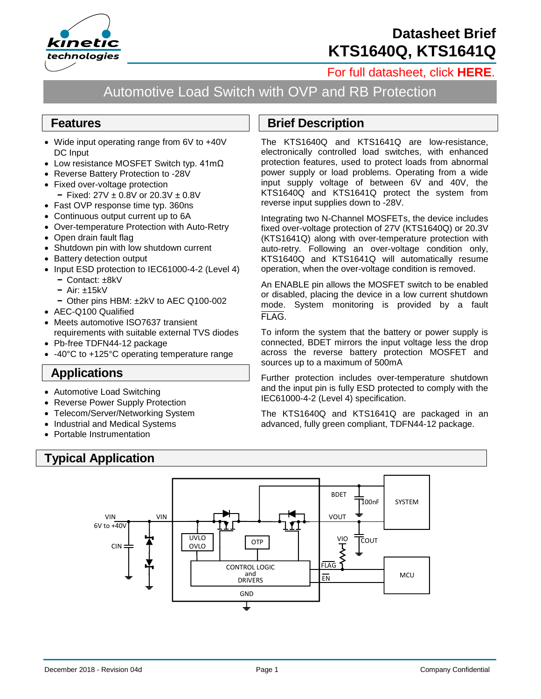

# **Datasheet Brief KTS1640Q, KTS1641Q**

### [For full datasheet, click](https://www.kinet-ic.com/sample-buy/request-document/?part=KTS1640Q-41Q%20Full%20Datasheet) **HERE**.

# Automotive Load Switch with OVP and RB Protection

#### **Features**

- Wide input operating range from 6V to +40V DC Input
- Low resistance MOSFET Switch typ. 41mΩ
- Reverse Battery Protection to -28V
- Fixed over-voltage protection
	- **−** Fixed: 27V ± 0.8V or 20.3V ± 0.8V
- Fast OVP response time typ. 360ns
- Continuous output current up to 6A
- Over-temperature Protection with Auto-Retry
- Open drain fault flag
- Shutdown pin with low shutdown current
- Battery detection output
- Input ESD protection to IEC61000-4-2 (Level 4)
	- **−** Contact: ±8kV
	- **−** Air: ±15kV
	- **−** Other pins HBM: ±2kV to AEC Q100-002
- AEC-Q100 Qualified
- Meets automotive ISO7637 transient requirements with suitable external TVS diodes
- Pb-free TDFN44-12 package
- -40°C to +125°C operating temperature range

#### **Applications**

- Automotive Load Switching
- Reverse Power Supply Protection
- Telecom/Server/Networking System
- Industrial and Medical Systems
- Portable Instrumentation

## **Typical Application**

### **Brief Description**

The KTS1640Q and KTS1641Q are low-resistance, electronically controlled load switches, with enhanced protection features, used to protect loads from abnormal power supply or load problems. Operating from a wide input supply voltage of between 6V and 40V, the KTS1640Q and KTS1641Q protect the system from reverse input supplies down to -28V.

Integrating two N-Channel MOSFETs, the device includes fixed over-voltage protection of 27V (KTS1640Q) or 20.3V (KTS1641Q) along with over-temperature protection with auto-retry. Following an over-voltage condition only, KTS1640Q and KTS1641Q will automatically resume operation, when the over-voltage condition is removed.

An ENABLE pin allows the MOSFET switch to be enabled or disabled, placing the device in a low current shutdown mode. System monitoring is provided by a fault FLAG.

To inform the system that the battery or power supply is connected, BDET mirrors the input voltage less the drop across the reverse battery protection MOSFET and sources up to a maximum of 500mA

Further protection includes over-temperature shutdown and the input pin is fully ESD protected to comply with the IEC61000-4-2 (Level 4) specification.

The KTS1640Q and KTS1641Q are packaged in an advanced, fully green compliant, TDFN44-12 package.